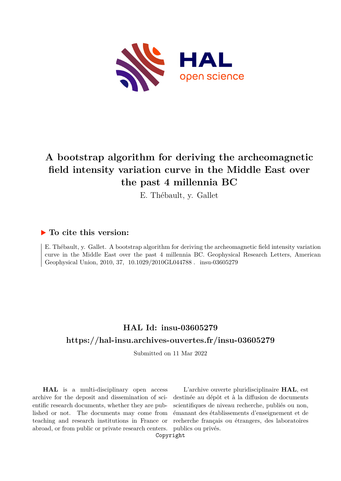

# **A bootstrap algorithm for deriving the archeomagnetic field intensity variation curve in the Middle East over the past 4 millennia BC**

E. Thébault, y. Gallet

## **To cite this version:**

E. Thébault, y. Gallet. A bootstrap algorithm for deriving the archeomagnetic field intensity variation curve in the Middle East over the past 4 millennia BC. Geophysical Research Letters, American Geophysical Union, 2010, 37, 10.1029/2010GL044788. insu-03605279

## **HAL Id: insu-03605279 <https://hal-insu.archives-ouvertes.fr/insu-03605279>**

Submitted on 11 Mar 2022

**HAL** is a multi-disciplinary open access archive for the deposit and dissemination of scientific research documents, whether they are published or not. The documents may come from teaching and research institutions in France or abroad, or from public or private research centers.

L'archive ouverte pluridisciplinaire **HAL**, est destinée au dépôt et à la diffusion de documents scientifiques de niveau recherche, publiés ou non, émanant des établissements d'enseignement et de recherche français ou étrangers, des laboratoires publics ou privés.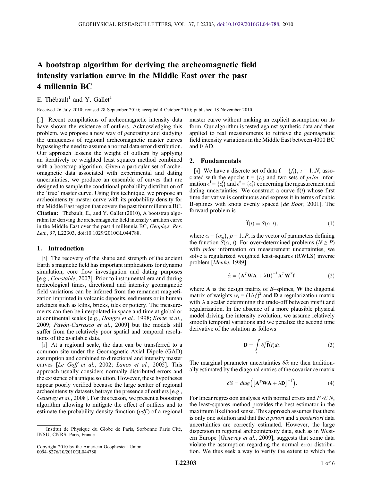## A bootstrap algorithm for deriving the archeomagnetic field intensity variation curve in the Middle East over the past 4 millennia BC

E. Thébault<sup>1</sup> and Y. Gallet<sup>1</sup>

Received 26 July 2010; revised 28 September 2010; accepted 4 October 2010; published 18 November 2010.

[1] Recent compilations of archeomagnetic intensity data have shown the existence of outliers. Acknowledging this problem, we propose a new way of generating and studying the uniqueness of regional archeomagnetic master curves bypassing the need to assume a normal data error distribution. Our approach lessens the weight of outliers by applying an iteratively re‐weighted least‐squares method combined with a bootstrap algorithm. Given a particular set of archeomagnetic data associated with experimental and dating uncertainties, we produce an ensemble of curves that are designed to sample the conditional probability distribution of the 'true' master curve. Using this technique, we propose an archeointensity master curve with its probability density for the Middle East region that covers the past four millennia BC. Citation: Thébault, E., and Y. Gallet (2010), A bootstrap algorithm for deriving the archeomagnetic field intensity variation curve in the Middle East over the past 4 millennia BC, Geophys. Res. Lett., 37, L22303, doi:10.1029/2010GL044788.

#### 1. Introduction

[2] The recovery of the shape and strength of the ancient Earth's magnetic field has important implications for dynamo simulation, core flow investigation and dating purposes [e.g., Constable, 2007]. Prior to instrumental era and during archeological times, directional and intensity geomagnetic field variations can be inferred from the remanent magnetization imprinted in volcanic deposits, sediments or in human artefacts such as kilns, bricks, tiles or pottery. The measurements can then be interpolated in space and time at global or at continental scales [e.g., Hongre et al., 1998; Korte et al., 2009; Pavón-Carrasco et al., 2009] but the models still suffer from the relatively poor spatial and temporal resolutions of the available data.

[3] At a regional scale, the data can be transferred to a common site under the Geomagnetic Axial Dipole (GAD) assumption and combined to directional and intensity master curves [Le Goff et al., 2002; Lanos et al., 2005]. This approach usually considers normally distributed errors and the existence of a unique solution. However, these hypotheses appear poorly verified because the large scatter of regional archeointensity datasets betrays the presence of outliers [e.g., Genevey et al., 2008]. For this reason, we present a bootstrap algorithm allowing to mitigate the effect of outliers and to estimate the probability density function  $(pdf)$  of a regional

master curve without making an explicit assumption on its form. Our algorithm is tested against synthetic data and then applied to real measurements to retrieve the geomagnetic field intensity variations in the Middle East between 4000 BC and 0 AD.

#### 2. Fundamentals

[4] We have a discrete set of data  $f = \{f_i\}$ ,  $i = 1..N$ , associated with the epochs  $\mathbf{t} = \{t_i\}$  and two sets of *prior* information  $\epsilon^f = \{\epsilon_i^f\}$  and  $\epsilon^t = \{\epsilon_i^t\}$  concerning the measurement and dating uncertainties. We construct a curve  $\hat{f}(t)$  whose first time derivative is continuous and express it in terms of cubic B-splines with knots evenly spaced [de Boor, 2001]. The forward problem is

$$
\widehat{\mathbf{f}}(t) = S(\alpha, t),\tag{1}
$$

where  $\alpha = {\alpha_p}$ ,  $p = 1..P$ , is the vector of parameters defining the function  $S(\alpha, t)$ . For over-determined problems ( $N \ge P$ ) with *prior* information on measurement uncertainties, we solve a regularized weighted least-squares (RWLS) inverse problem [Menke, 1989]

$$
\widehat{\alpha} = \left(\mathbf{A}^T \mathbf{W} \mathbf{A} + \lambda \mathbf{D}\right)^{-1} \mathbf{A}^T \mathbf{W}^T \mathbf{f},\tag{2}
$$

where  $A$  is the design matrix of  $B$ –splines,  $W$  the diagonal matrix of weights  $w_i = (1/\epsilon_i)^2$  and **D** a regularization matrix with  $\lambda$  a scalar determining the trade-off between misfit and regularization. In the absence of a more plausible physical model driving the intensity evolution, we assume relatively smooth temporal variations and we penalize the second time derivative of the solution as follows

$$
\mathbf{D} = \int_{t} \partial_{t}^{2} \widehat{\mathbf{f}}(t) dt.
$$
 (3)

The marginal parameter uncertainties  $\delta \hat{\alpha}$  are then traditionally estimated by the diagonal entries of the covariance matrix

$$
\delta \widehat{\alpha} = diag\left( \left[ \mathbf{A}^T \mathbf{W} \mathbf{A} + \lambda \mathbf{D} \right]^{-1} \right). \tag{4}
$$

For linear regression analyses with normal errors and  $P \ll N$ , the least‐squares method provides the best estimator in the maximum likelihood sense. This approach assumes that there is only one solution and that the *a priori* and *a posteriori* data uncertainties are correctly estimated. However, the large dispersion in regional archeointensity data, such as in Western Europe [*Genevey et al.*, 2009], suggests that some data violate the assumption regarding the normal error distribution. We thus seek a way to verify the extent to which the

<sup>&</sup>lt;sup>1</sup>Institut de Physique du Globe de Paris, Sorbonne Paris Cité, INSU, CNRS, Paris, France.

Copyright 2010 by the American Geophysical Union. 0094‐8276/10/2010GL044788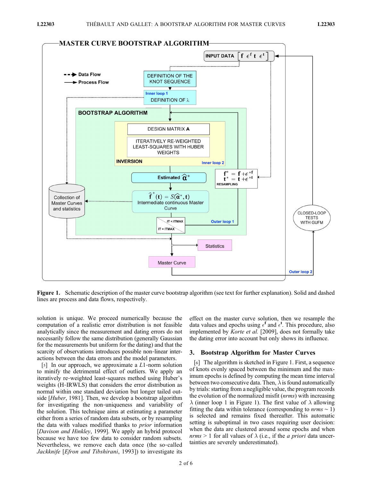

Figure 1. Schematic description of the master curve bootstrap algorithm (see text for further explanation). Solid and dashed lines are process and data flows, respectively.

solution is unique. We proceed numerically because the computation of a realistic error distribution is not feasible analytically since the measurement and dating errors do not necessarily follow the same distribution (generally Gaussian for the measurements but uniform for the dating) and that the scarcity of observations introduces possible non-linear interactions between the data errors and the model parameters.

[5] In our approach, we approximate a  $L1$ -norm solution to minify the detrimental effect of outliers. We apply an iteratively re‐weighted least‐squares method using Huber's weights (H‐IRWLS) that considers the error distribution as normal within one standard deviation but longer tailed outside [*Huber*, 1981]. Then, we develop a bootstrap algorithm for investigating the non-uniqueness and variability of the solution. This technique aims at estimating a parameter either from a series of random data subsets, or by resampling the data with values modified thanks to prior information [Davison and Hinkley, 1999]. We apply an hybrid protocol because we have too few data to consider random subsets. Nevertheless, we remove each data once (the so-called Jackknife [Efron and Tibshirani, 1993]) to investigate its

effect on the master curve solution, then we resample the data values and epochs using  $\epsilon^f$  and  $\epsilon^t$ . This procedure, also implemented by Korte et al. [2009], does not formally take the dating error into account but only shows its influence.

#### 3. Bootstrap Algorithm for Master Curves

[6] The algorithm is sketched in Figure 1. First, a sequence of knots evenly spaced between the minimum and the maximum epochs is defined by computing the mean time interval between two consecutive data. Then,  $\lambda$  is found automatically by trials: starting from a negligible value, the program records the evolution of the normalized misfit *(nrms)* with increasing  $\lambda$  (inner loop 1 in Figure 1). The first value of  $\lambda$  allowing fitting the data within tolerance (corresponding to  $nrms \sim 1$ ) is selected and remains fixed thereafter. This automatic setting is suboptimal in two cases requiring user decision: when the data are clustered around some epochs and when nrms > 1 for all values of  $\lambda$  (i.e., if the *a priori* data uncertainties are severely underestimated).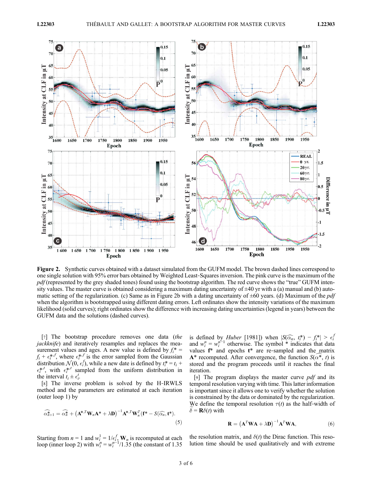

Figure 2. Synthetic curves obtained with a dataset simulated from the GUFM model. The brown dashed lines correspond to one single solution with 95% error bars obtained by Weighted Least‐Squares inversion. The pink curve is the maximum of the  $pdf$  (represented by the grey shaded tones) found using the bootstrap algorithm. The red curve shows the "true" GUFM intensity values. The master curve is obtained considering a maximum dating uncertainty of  $\pm 40$  yr with a (a) manual and (b) automatic setting of the regularization. (c) Same as in Figure 2b with a dating uncertainty of  $\pm 60$  years. (d) Maximum of the *pdf* when the algorithm is bootstrapped using different dating errors. Left ordinates show the intensity variations of the maximum likelihood (solid curves); right ordinates show the difference with increasing dating uncertainties (legend in years) between the GUFM data and the solutions (dashed curves).

[7] The bootstrap procedure removes one data (the jackknife) and iteratively resamples and replaces the measurement values and ages. A new value is defined by  $f_i^*$  =  $f_i + \epsilon_i^{*,f}$ , where  $\epsilon_i^{*,f}$  is the error sampled from the Gaussian distribution  $\mathcal{N}(0, \epsilon_i^f)$ , while a new date is defined by  $t_i^* = t_i +$  $\epsilon_i^{*,t}$ , with  $\epsilon_i^{*,t}$  sampled from the uniform distribution in the interval  $t_i \pm \epsilon_i^t$ .

[8] The inverse problem is solved by the H‐IRWLS method and the parameters are estimated at each iteration (outer loop 1) by

$$
\widehat{\alpha_{n+1}^*} = \widehat{\alpha_n^*} + \left(\mathbf{A}^{*,T} \mathbf{W}_n \mathbf{A}^* + \lambda \mathbf{D}\right)^{-1} \mathbf{A}^{*,T} \mathbf{W}_n^T (\mathbf{f}^* - S(\widehat{\alpha_n}, \mathbf{t}^*)).
$$
\n(5)

Starting from  $n = 1$  and  $w_i^1 = 1/\epsilon_i^f$ ,  $\mathbf{W}_n$  is recomputed at each loop (inner loop 2) with  $w_i^n = w_i^{n-1}/1.35$  (the constant of 1.35

is defined by *Huber* [1981]) when  $|S(\widehat{\alpha}_n, t^*) - f^*| > \epsilon_i^T$ and  $w_i^n = w_i^{n-1}$  otherwise. The symbol \* indicates that data values  $f^*$  and epochs  $t^*$  are re-sampled and the matrix  $A^*$  recomputed. After convergence, the function  $S(\alpha^*, t)$  is stored and the program proceeds until it reaches the final iteration.

[9] The program displays the master curve  $pdf$  and its temporal resolution varying with time. This latter information is important since it allows one to verify whether the solution is constrained by the data or dominated by the regularization. We define the temporal resolution  $\tau(t)$  as the half-width of  $\widetilde{\delta} = \mathbf{R}\delta(t)$  with

$$
\mathbf{R} = \left(\mathbf{A}^T \mathbf{W} \mathbf{A} + \lambda \mathbf{D}\right)^{-1} \mathbf{A}^T \mathbf{W} \mathbf{A},\tag{6}
$$

the resolution matrix, and  $\delta(t)$  the Dirac function. This resolution time should be used qualitatively and with extreme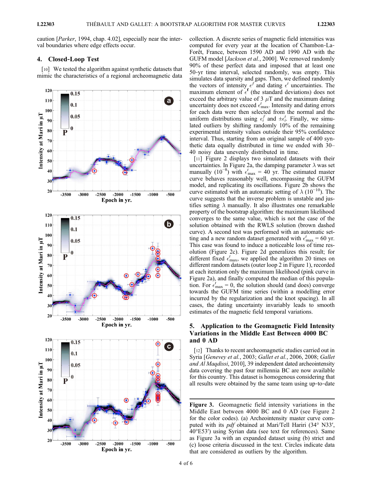caution [Parker, 1994, chap. 4.02], especially near the interval boundaries where edge effects occur.

#### 4. Closed‐Loop Test

[10] We tested the algorithm against synthetic datasets that mimic the characteristics of a regional archeomagnetic data



collection. A discrete series of magnetic field intensities was computed for every year at the location of Chambon‐La‐ Forêt, France, between 1590 AD and 1990 AD with the GUFM model [Jackson et al., 2000]. We removed randomly 90% of these perfect data and imposed that at least one 50‐yr time interval, selected randomly, was empty. This simulates data sparsity and gaps. Then, we defined randomly the vectors of intensity  $\epsilon^{f}$  and dating  $\epsilon^{t}$  uncertainties. The maximum element of  $\epsilon^f$  (the standard deviations) does not exceed the arbitrary value of 3  $\mu$ T and the maximum dating uncertainty does not exceed  $\epsilon_{\text{max}}^t$ . Intensity and dating errors for each data were then selected from the normal and the uniform distributions using  $\epsilon_i^f$  and  $\pm \epsilon_i^t$ . Finally, we simulated outliers by shifting randomly 10% of the remaining experimental intensity values outside their 95% confidence interval. Thus, starting from an original sample of 400 synthetic data equally distributed in time we ended with 30– 40 noisy data unevenly distributed in time.

[11] Figure 2 displays two simulated datasets with their uncertainties. In Figure 2a, the damping parameter  $\lambda$  was set manually (10<sup>-8</sup>) with  $\epsilon_{\text{max}}^t = 40$  yr. The estimated master curve behaves reasonably well, encompassing the GUFM model, and replicating its oscillations. Figure 2b shows the curve estimated with an automatic setting of  $\lambda$  (10<sup>-10</sup>). The curve suggests that the inverse problem is unstable and justifies setting  $\lambda$  manually. It also illustrates one remarkable property of the bootstrap algorithm: the maximum likelihood converges to the same value, which is not the case of the solution obtained with the RWLS solution (brown dashed curve). A second test was performed with an automatic setting and a new random dataset generated with  $\epsilon_{\text{max}}^t = 60$  yr. This case was found to induce a noticeable loss of time resolution (Figure 2c). Figure 2d generalizes this result; for different fixed  $\epsilon_{\text{max}}^t$ , we applied the algorithm 20 times on different random datasets (outer loop 2 in Figure 1), recorded at each iteration only the maximum likelihood (pink curve in Figure 2a), and finally computed the median of this population. For  $\epsilon_{\text{max}}^t = 0$ , the solution should (and does) converge towards the GUFM time series (within a modelling error incurred by the regularization and the knot spacing). In all cases, the dating uncertainty invariably leads to smooth estimates of the magnetic field temporal variations.

#### 5. Application to the Geomagnetic Field Intensity Variations in the Middle East Between 4000 BC and 0 AD

[12] Thanks to recent archeomagnetic studies carried out in Syria [Genevey et al., 2003; Gallet et al., 2006, 2008; Gallet and Al Maqdissi, 2010], 39 independent dated archeointensity data covering the past four millennia BC are now available for this country. This dataset is homogenous considering that all results were obtained by the same team using up‐to‐date

Figure 3. Geomagnetic field intensity variations in the Middle East between 4000 BC and 0 AD (see Figure 2 for the color codes). (a) Archeointensity master curve computed with its pdf obtained at Mari/Tell Hariri (34° N33′, 40°E53′) using Syrian data (see text for references). Same as Figure 3a with an expanded dataset using (b) strict and (c) loose criteria discussed in the text. Circles indicate data that are considered as outliers by the algorithm.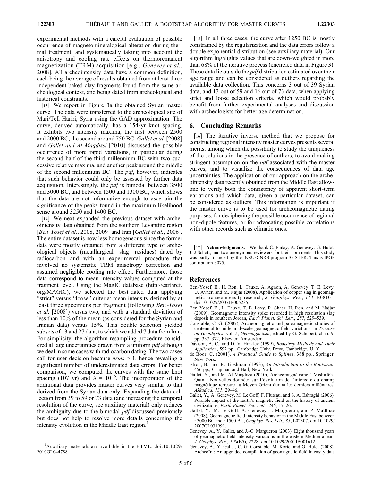experimental methods with a careful evaluation of possible occurrence of magnetomineralogical alteration during thermal treatment, and systematically taking into account the anisotropy and cooling rate effects on thermoremanent magnetization (TRM) acquisition [e.g., *Genevey et al.*, 2008]. All archeointensity data have a common definition, each being the average of results obtained from at least three independent baked clay fragments found from the same archeological context, and being dated from archeological and historical constraints.

[13] We report in Figure 3a the obtained Syrian master curve. The data were transferred to the archeological site of Mari/Tell Hariri, Syria using the GAD approximation. The curve, derived automatically, has a 154‐yr knot spacing. It exhibits two intensity maxima, the first between 2500 and 2000 BC, the second around 750 BC. Gallet et al. [2008] and Gallet and Al Maqdissi [2010] discussed the possible occurrence of more rapid variations, in particular during the second half of the third millennium BC with two successive relative maxima, and another peak around the middle of the second millennium BC. The  $pdf$ , however, indicates that such behavior could only be assessed by further data acquisition. Interestingly, the *pdf* is bimodal between 3500 and 3000 BC, and between 1500 and 1300 BC, which shows that the data are not informative enough to ascertain the significance of the peaks found in the maximum likelihood sense around 3250 and 1400 BC.

[14] We next expanded the previous dataset with archeointensity data obtained from the southern Levantine region [*Ben-Yosef et al.*, 2008, 2009] and Iran [*Gallet et al.*, 2006]. The entire dataset is now less homogeneous since the former data were mostly obtained from a different type of archeological objects (metallurgical ‐slag‐ residues) dated by radiocarbon and with an experimental procedure that involved no systematic TRM anisotropy correction and assumed negligible cooling rate effect. Furthermore, those data correspond to mean intensity values computed at the fragment level. Using the MagIC database (http://earthref. org/MAGIC), we selected the best-dated data applying "strict" versus "loose" criteria: mean intensity defined by at least three specimens per fragment (following Ben‐Yosef et al. [2008]) versus two, and with a standard deviation of less than 10% of the mean (as considered for the Syrian and Iranian data) versus 15%. This double selection yielded subsets of 13 and 27 data, to which we added 7 data from Iran. For simplicity, the algorithm resampling procedure considered all age uncertainties drawn from a uniform *pdf* although we deal in some cases with radiocarbon dating. The two cases call for user decision because  $nrms > 1$ , hence revealing a significant number of underestimated data errors. For better comparison, we computed the curves with the same knot spacing (107 yr) and  $\lambda = 10^{-6}$ . The incorporation of the additional data provides master curves very similar to that derived from the Syrian data only. Expanding the data collection from 39 to 59 or 73 data (and increasing the temporal resolution of the curve, see auxiliary material) only reduces the ambiguity due to the bimodal *pdf* discussed previously but does not help to resolve more details concerning the intensity evolution in the Middle East region.<sup>1</sup>

[15] In all three cases, the curve after 1250 BC is mostly constrained by the regularization and the data errors follow a double exponential distribution (see auxiliary material). Our algorithm highlights values that are down‐weighted in more than 68% of the iterative process (encircled data in Figure 3). These data lie outside the *pdf* distribution estimated over their age range and can be considered as outliers regarding the available data collection. This concerns 3 out of 39 Syrian data, and 13 out of 59 and 16 out of 73 data, when applying strict and loose selection criteria, which would probably benefit from further experimental analyses and discussion with archeologists for better age determination.

#### 6. Concluding Remarks

[16] The iterative inverse method that we propose for constructing regional intensity master curves presents several merits, among which the possibility to study the uniqueness of the solutions in the presence of outliers, to avoid making stringent assumption on the *pdf* associated with the master curves, and to visualize the consequences of data age uncertainties. The application of our approach on the archeointensity data recently obtained from the Middle East allows one to verify both the consistency of apparent short‐term variations and which data, given a particular dataset, can be considered as outliers. This information is important if the master curve is to be used for archeomagnetic dating purposes, for deciphering the possible occurrence of regional non-dipole features, or for advocating possible correlations with other records such as climatic ones.

[17] Acknowledgments. We thank C. Finlay, A. Genevey, G. Hulot, J. J Schott, and two anonymous reviewers for their comments. This study was partly financed by the INSU‐CNRS program SYSTER. This is IPGP contribution 3075.

#### References

- Ben‐Yosef, E., H. Ron, L. Tauxe, A. Agnon, A. Genevey, T. E. Levy, U. Avner, and M. Najjar (2008), Application of copper slag in geomagnetic archaeointensity research, J. Geophys. Res., 113, B08101, doi:10.1029/2007JB005235.
- Ben‐Yosef, E., L. Tauxe, T. E. Levy, R. Shaar, H. Ron, and M. Najjar (2009), Geomagnetic intensity spike recorded in high resolution slag deposit in southern Jordan, Earth Planet. Sci. Lett., 287, 529–539.
- Constable, C. G. (2007), Archeomagnetic and paleomagnetic studies of centennial to millennial-scale geomagnetic field variations, in Treatise on Geophysics, vol. 5, Geomagnetism, edited by G. Schubert, chap. 9, pp. 337–372, Elsevier, Amsterdam.
- Davison, A. C., and D. V. Hinkley (1999), Bootstrap Methods and Their Application, 592 pp., Cambridge Univ. Press, Cambridge, U. K.
- de Boor, C. (2001), A Practical Guide to Splines, 368 pp., Springer, New York.
- Efron, B., and R. Tibshirani (1993), An Introduction to the Bootstrap, 456 pp., Chapman and Hall, New York.
- Gallet, Y., and M. Al Maqdissi (2010), Archéomagnétisme à Mishirfeh-Qatna: Nouvelles données sur l'évolution de l'intensité du champ magnétique terrestre au Moyen‐Orient durant les derniers millénaires, Akkadica, 131, 29–46.
- Gallet, Y., A. Genevey, M. Le Goff, F. Fluteau, and S. A. Eshraghi (2006), Possible impact of the Earth's magnetic field on the history of ancient civilizations, Earth Planet. Sci. Lett., 246, 17–26.
- Gallet, Y., M. Le Goff, A. Genevey, J. Margueron, and P. Matthiae (2008), Geomagnetic field intensity behavior in the Middle East between ∼3000 BC and ∼1500 BC, Geophys. Res. Lett., 35, L02307, doi:10.1029/ 2007GL031991.
- Genevey, A., Y. Gallet, and J.‐C. Margueron (2003), Eight thousand years of geomagnetic field intensity variations in the eastern Mediterranean, J. Geophys. Res., 108(B5), 2228, doi:10.1029/2001JB001612.
- Genevey, A., Y. Gallet, C. G. Constable, M. Korte, and G. Hulot (2008), ArcheoInt: An upgraded compilation of geomagnetic field intensity data

<sup>&</sup>lt;sup>1</sup>Auxiliary materials are available in the HTML. doi:10.1029/ 2010GL044788.